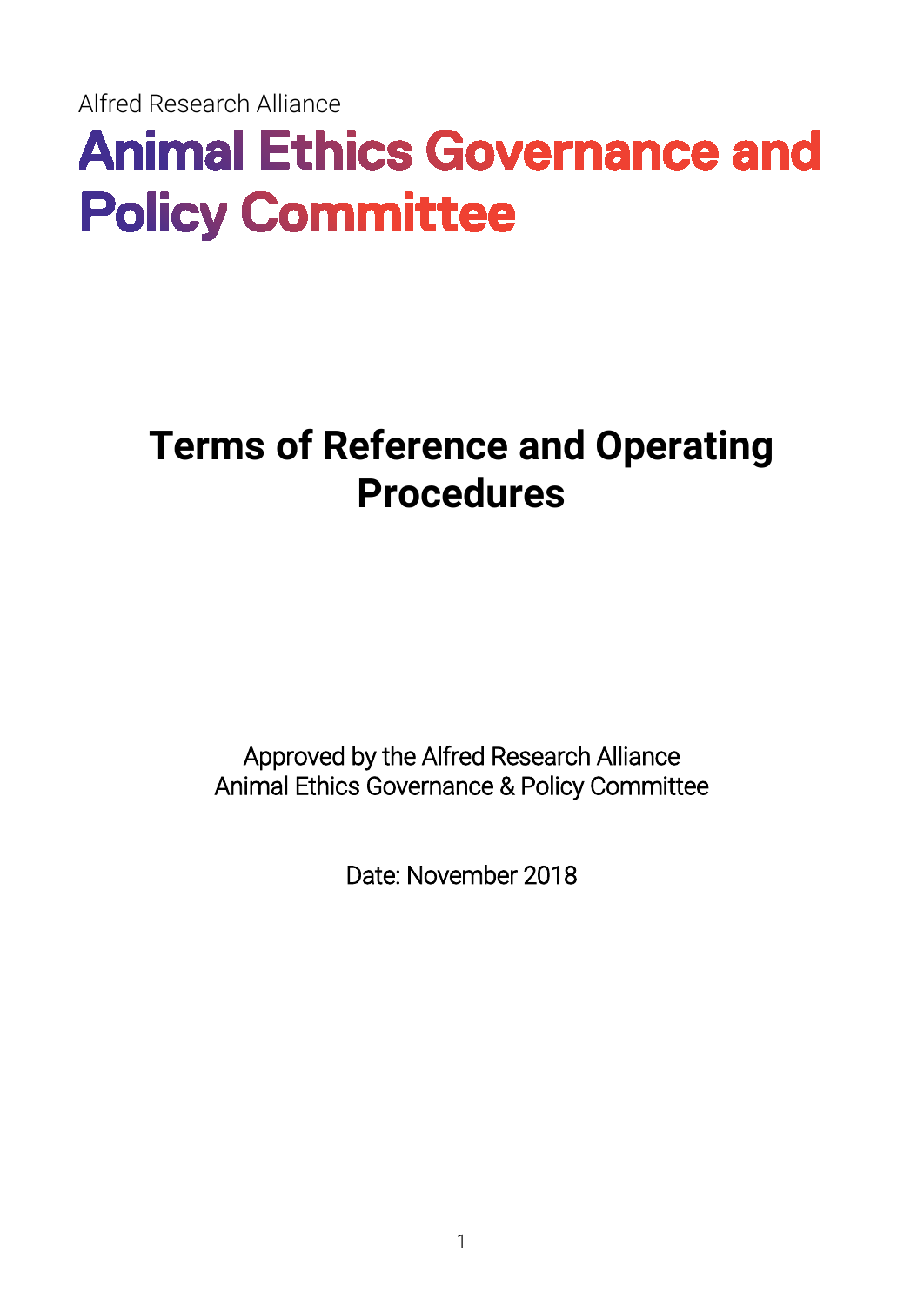Alfred Research Alliance

# **Animal Ethics Governance and Policy Committee**

# **Terms of Reference and Operating Procedures**

Approved by the Alfred Research Alliance Animal Ethics Governance & Policy Committee

Date: November 2018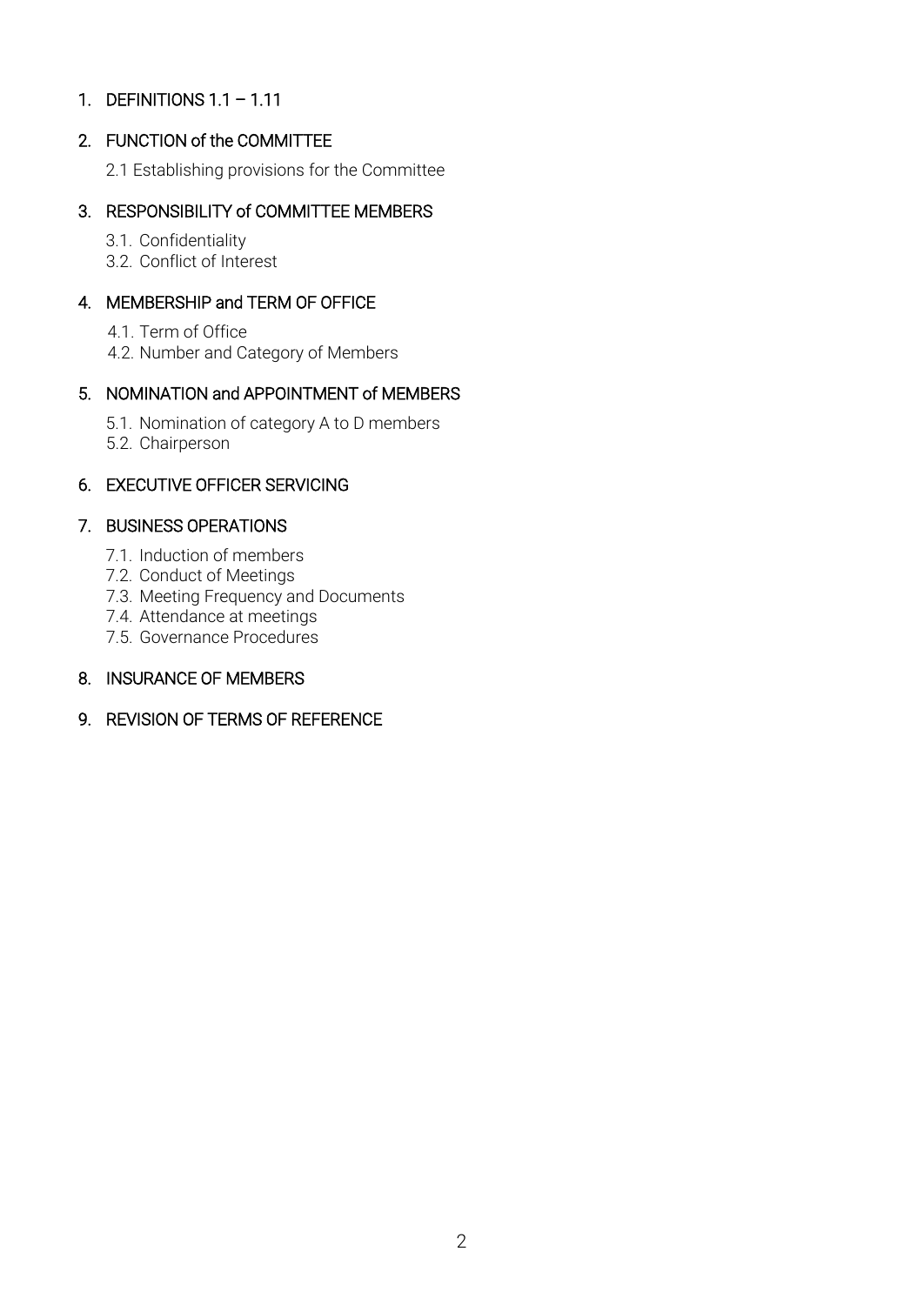# 1. DEFINITIONS 1.1 – 1.11

# 2. FUNCTION of the COMMITTEE

2.1 Establishing provisions for the Committee

# 3. RESPONSIBILITY of COMMITTEE MEMBERS

3.1. Confidentiality

3.2. Conflict of Interest

# 4. MEMBERSHIP and TERM OF OFFICE

4.1. Term of Office

4.2. Number and Category of Members

# 5. NOMINATION and APPOINTMENT of MEMBERS

- 5.1. Nomination of category A to D members
- 5.2. Chairperson

# 6. EXECUTIVE OFFICER SERVICING

#### 7. BUSINESS OPERATIONS

- 7.1. Induction of members
- 7.2. Conduct of Meetings
- 7.3. Meeting Frequency and Documents
- 7.4. Attendance at meetings
- 7.5. Governance Procedures

#### 8. INSURANCE OF MEMBERS

9. REVISION OF TERMS OF REFERENCE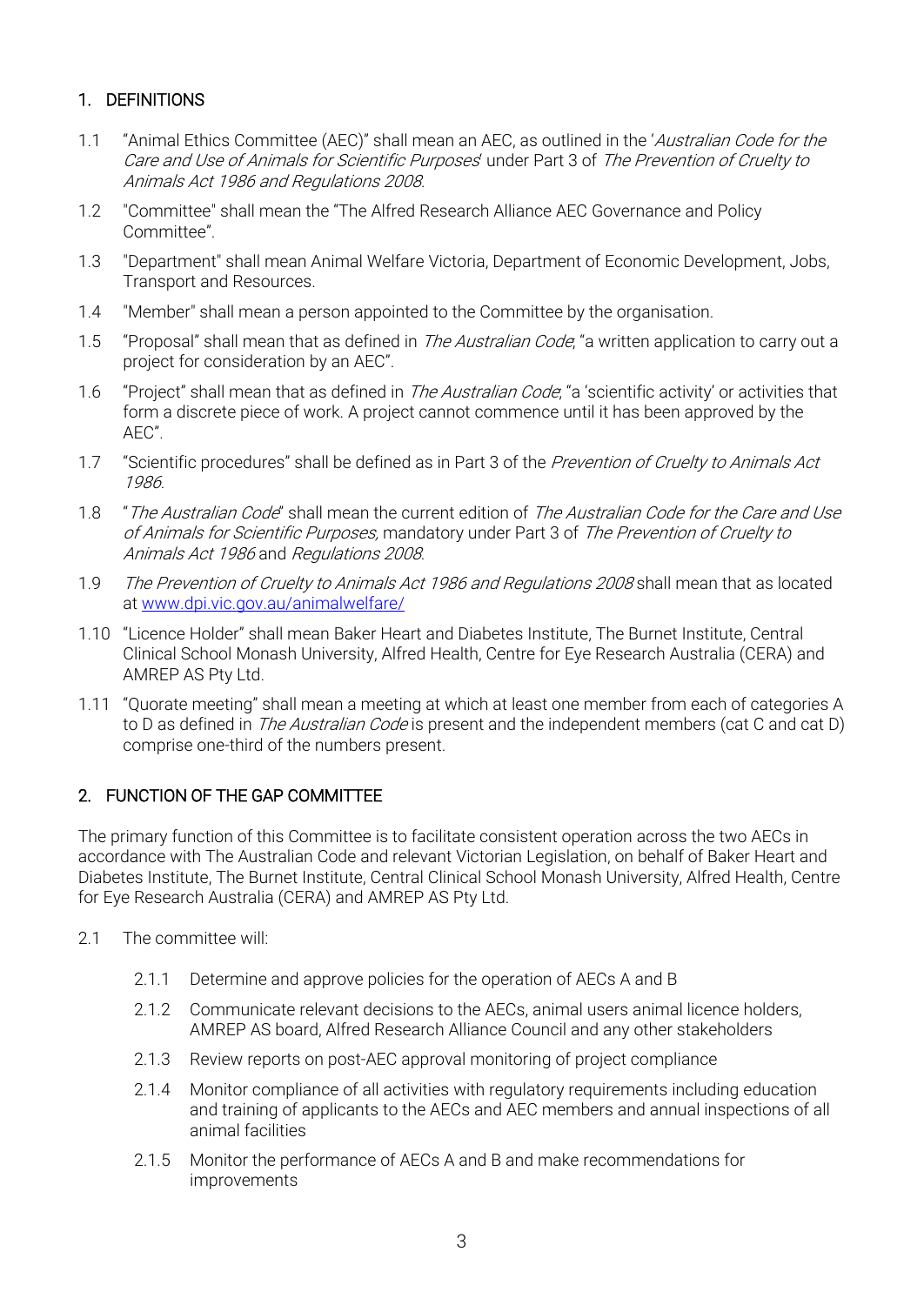# 1. DEFINITIONS

- 1.1 "Animal Ethics Committee (AEC)" shall mean an AEC, as outlined in the 'Australian Code for the Care and Use of Animals for Scientific Purposes' under Part 3 of The Prevention of Cruelty to Animals Act 1986 and Regulations 2008.
- 1.2 "Committee" shall mean the "The Alfred Research Alliance AEC Governance and Policy Committee".
- 1.3 "Department" shall mean Animal Welfare Victoria, Department of Economic Development, Jobs, Transport and Resources.
- 1.4 "Member" shall mean a person appointed to the Committee by the organisation.
- 1.5 "Proposal" shall mean that as defined in *The Australian Code*, "a written application to carry out a project for consideration by an AEC".
- 1.6 "Project" shall mean that as defined in *The Australian Code*, "a 'scientific activity' or activities that form a discrete piece of work. A project cannot commence until it has been approved by the AEC".
- 1.7 "Scientific procedures" shall be defined as in Part 3 of the Prevention of Cruelty to Animals Act 1986.
- 1.8 *"The Australian Code*" shall mean the current edition of The Australian Code for the Care and Use of Animals for Scientific Purposes, mandatory under Part 3 of The Prevention of Cruelty to Animals Act 1986 and Regulations 2008.
- 1.9 The Prevention of Cruelty to Animals Act 1986 and Regulations 2008 shall mean that as located at [www.dpi.vic.gov.au/animalwelfare/](http://www.dpi.vic.gov.au/animalwelfare/)
- 1.10 "Licence Holder" shall mean Baker Heart and Diabetes Institute, The Burnet Institute, Central Clinical School Monash University, Alfred Health, Centre for Eye Research Australia (CERA) and AMREP AS Pty Ltd.
- 1.11 "Quorate meeting" shall mean a meeting at which at least one member from each of categories A to D as defined in The Australian Code is present and the independent members (cat C and cat D) comprise one-third of the numbers present.

# 2. FUNCTION OF THE GAP COMMITTEE

The primary function of this Committee is to facilitate consistent operation across the two AECs in accordance with The Australian Code and relevant Victorian Legislation, on behalf of Baker Heart and Diabetes Institute, The Burnet Institute, Central Clinical School Monash University, Alfred Health, Centre for Eye Research Australia (CERA) and AMREP AS Pty Ltd.

- 2.1 The committee will:
	- 2.1.1 Determine and approve policies for the operation of AECs A and B
	- 2.1.2 Communicate relevant decisions to the AECs, animal users animal licence holders, AMREP AS board, Alfred Research Alliance Council and any other stakeholders
	- 2.1.3 Review reports on post-AEC approval monitoring of project compliance
	- 2.1.4 Monitor compliance of all activities with regulatory requirements including education and training of applicants to the AECs and AEC members and annual inspections of all animal facilities
	- 2.1.5 Monitor the performance of AECs A and B and make recommendations for improvements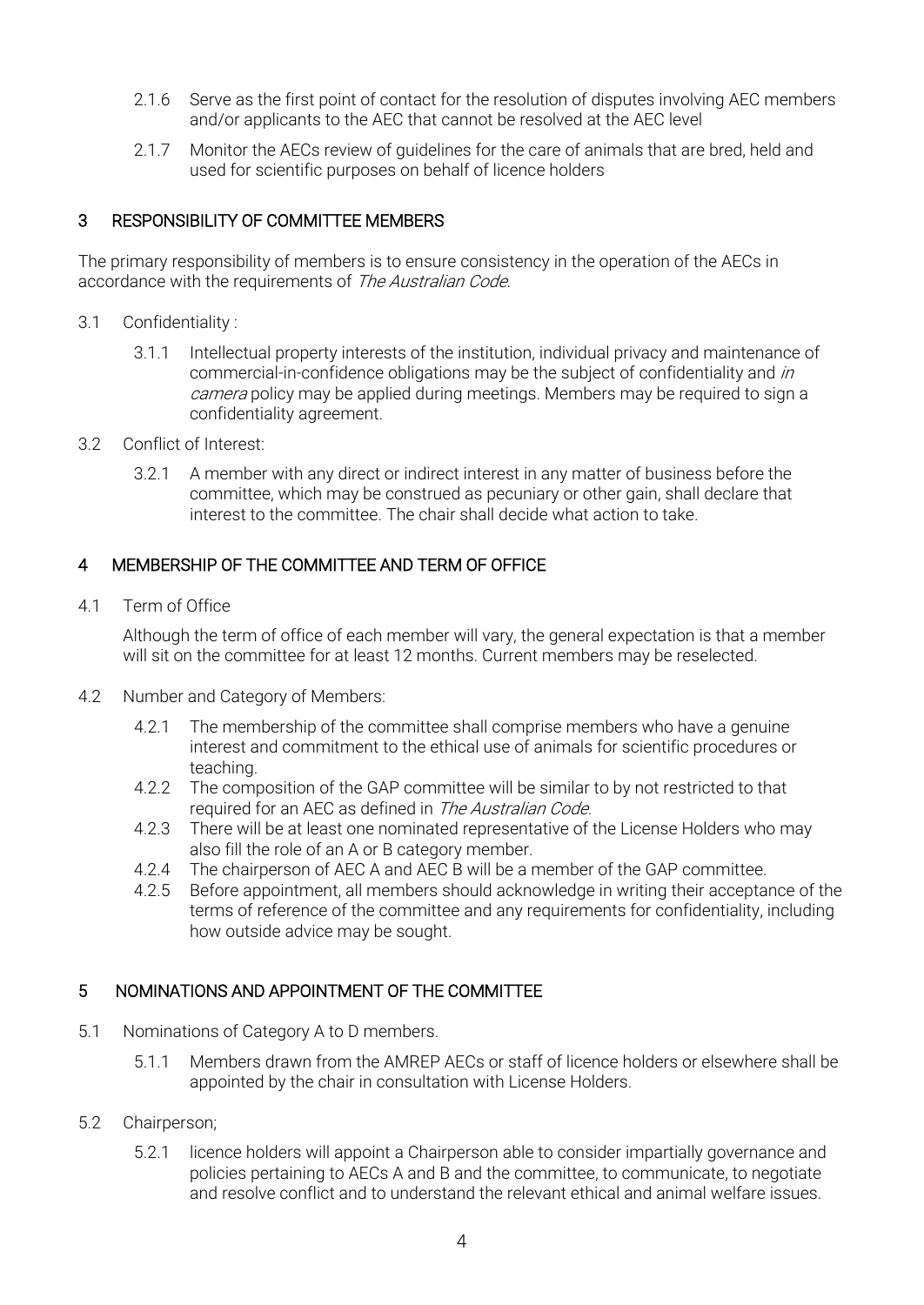- 2.1.6 Serve as the first point of contact for the resolution of disputes involving AEC members and/or applicants to the AEC that cannot be resolved at the AEC level
- 2.1.7 Monitor the AECs review of guidelines for the care of animals that are bred, held and used for scientific purposes on behalf of licence holders

# 3 RESPONSIBILITY OF COMMITTEE MEMBERS

The primary responsibility of members is to ensure consistency in the operation of the AECs in accordance with the requirements of The Australian Code.

- 3.1 Confidentiality :
	- 3.1.1 Intellectual property interests of the institution, individual privacy and maintenance of commercial-in-confidence obligations may be the subject of confidentiality and in camera policy may be applied during meetings. Members may be required to sign a confidentiality agreement.
- 3.2 Conflict of Interest:
	- 3.2.1 A member with any direct or indirect interest in any matter of business before the committee, which may be construed as pecuniary or other gain, shall declare that interest to the committee. The chair shall decide what action to take.

# 4 MEMBERSHIP OF THE COMMITTEE AND TERM OF OFFICE

4.1 Term of Office

Although the term of office of each member will vary, the general expectation is that a member will sit on the committee for at least 12 months. Current members may be reselected.

- 4.2 Number and Category of Members:
	- 4.2.1 The membership of the committee shall comprise members who have a genuine interest and commitment to the ethical use of animals for scientific procedures or teaching.
	- 4.2.2 The composition of the GAP committee will be similar to by not restricted to that required for an AEC as defined in *The Australian Code*.
	- 4.2.3 There will be at least one nominated representative of the License Holders who may also fill the role of an A or B category member.
	- 4.2.4 The chairperson of AEC A and AEC B will be a member of the GAP committee.
	- 4.2.5 Before appointment, all members should acknowledge in writing their acceptance of the terms of reference of the committee and any requirements for confidentiality, including how outside advice may be sought.

# 5 NOMINATIONS AND APPOINTMENT OF THE COMMITTEE

- 5.1 Nominations of Category A to D members.
	- 5.1.1 Members drawn from the AMREP AECs or staff of licence holders or elsewhere shall be appointed by the chair in consultation with License Holders.
- 5.2 Chairperson;
	- 5.2.1 licence holders will appoint a Chairperson able to consider impartially governance and policies pertaining to AECs A and B and the committee, to communicate, to negotiate and resolve conflict and to understand the relevant ethical and animal welfare issues.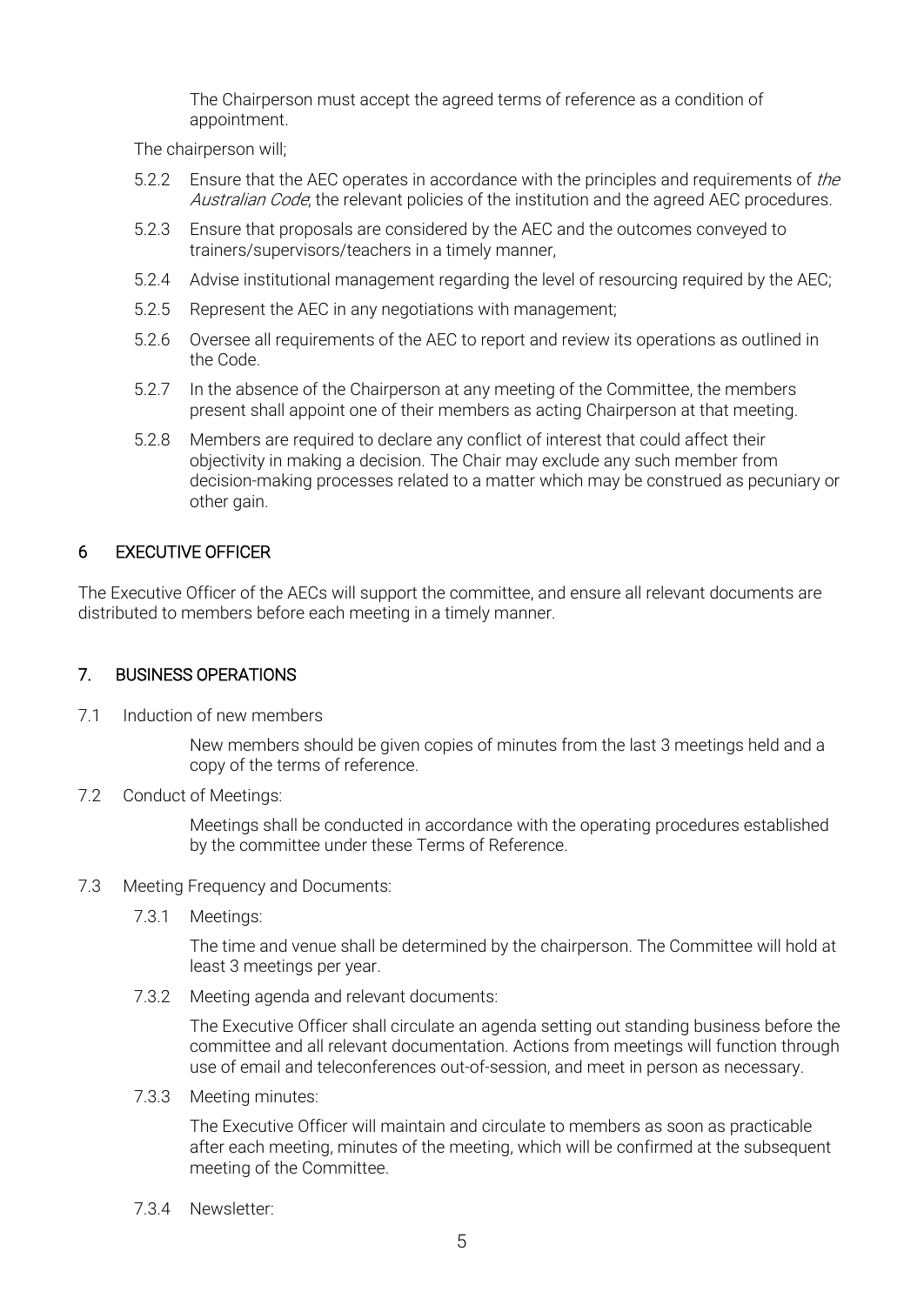The Chairperson must accept the agreed terms of reference as a condition of appointment.

The chairperson will;

- 5.2.2 Ensure that the AEC operates in accordance with the principles and requirements of the Australian Code, the relevant policies of the institution and the agreed AEC procedures.
- 5.2.3 Ensure that proposals are considered by the AEC and the outcomes conveyed to trainers/supervisors/teachers in a timely manner,
- 5.2.4 Advise institutional management regarding the level of resourcing required by the AEC;
- 5.2.5 Represent the AEC in any negotiations with management;
- 5.2.6 Oversee all requirements of the AEC to report and review its operations as outlined in the Code.
- 5.2.7 In the absence of the Chairperson at any meeting of the Committee, the members present shall appoint one of their members as acting Chairperson at that meeting.
- 5.2.8 Members are required to declare any conflict of interest that could affect their objectivity in making a decision. The Chair may exclude any such member from decision-making processes related to a matter which may be construed as pecuniary or other gain.

# 6 EXECUTIVE OFFICER

The Executive Officer of the AECs will support the committee, and ensure all relevant documents are distributed to members before each meeting in a timely manner.

#### 7. BUSINESS OPERATIONS

7.1 Induction of new members

New members should be given copies of minutes from the last 3 meetings held and a copy of the terms of reference.

7.2 Conduct of Meetings:

Meetings shall be conducted in accordance with the operating procedures established by the committee under these Terms of Reference.

- 7.3 Meeting Frequency and Documents:
	- 7.3.1 Meetings:

The time and venue shall be determined by the chairperson. The Committee will hold at least 3 meetings per year.

7.3.2 Meeting agenda and relevant documents:

The Executive Officer shall circulate an agenda setting out standing business before the committee and all relevant documentation. Actions from meetings will function through use of email and teleconferences out-of-session, and meet in person as necessary.

7.3.3 Meeting minutes:

The Executive Officer will maintain and circulate to members as soon as practicable after each meeting, minutes of the meeting, which will be confirmed at the subsequent meeting of the Committee.

7.3.4 Newsletter: